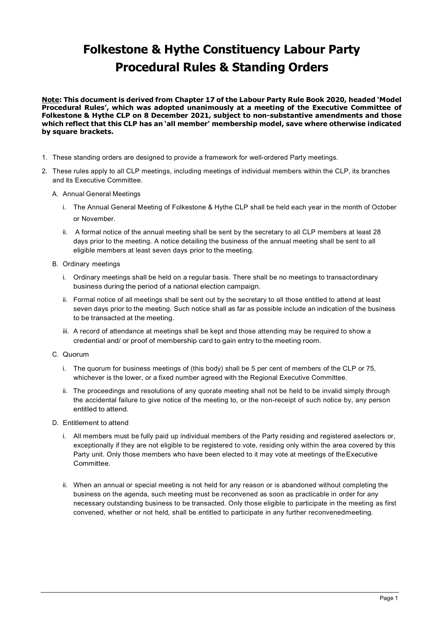## **Folkestone & Hythe Constituency Labour Party Procedural Rules & Standing Orders**

**Note: This document is derived from Chapter 17 of the Labour Party Rule Book 2020, headed 'Model Procedural Rules', which was adopted unanimously at a meeting of the Executive Committee of Folkestone & Hythe CLP on 8 December 2021, subject to non-substantive amendments and those which reflect that this CLP has an 'all member' membership model, save where otherwise indicated by square brackets.**

- 1. These standing orders are designed to provide a framework for well-ordered Party meetings.
- 2. These rules apply to all CLP meetings, including meetings of individual members within the CLP, its branches and its Executive Committee.
	- A. Annual General Meetings
		- i. The Annual General Meeting of Folkestone & Hythe CLP shall be held each year in the month of October or November.
		- ii. A formal notice of the annual meeting shall be sent by the secretary to all CLP members at least 28 days prior to the meeting. A notice detailing the business of the annual meeting shall be sent to all eligible members at least seven days prior to the meeting.
	- B. Ordinary meetings
		- i. Ordinary meetings shall be held on a regular basis. There shall be no meetings to transactordinary business during the period of a national election campaign.
		- ii. Formal notice of all meetings shall be sent out by the secretary to all those entitled to attend at least seven days prior to the meeting. Such notice shall as far as possible include an indication of the business to be transacted at the meeting.
		- iii. A record of attendance at meetings shall be kept and those attending may be required to show a credential and/ or proof of membership card to gain entry to the meeting room.
	- C. Quorum
		- i. The quorum for business meetings of (this body) shall be 5 per cent of members of the CLP or 75, whichever is the lower, or a fixed number agreed with the Regional Executive Committee.
		- ii. The proceedings and resolutions of any quorate meeting shall not be held to be invalid simply through the accidental failure to give notice of the meeting to, or the non-receipt of such notice by, any person entitled to attend.
	- D. Entitlement to attend
		- i. All members must be fully paid up individual members of the Party residing and registered aselectors or, exceptionally if they are not eligible to be registered to vote, residing only within the area covered by this Party unit. Only those members who have been elected to it may vote at meetings of theExecutive **Committee**
		- ii. When an annual or special meeting is not held for any reason or is abandoned without completing the business on the agenda, such meeting must be reconvened as soon as practicable in order for any necessary outstanding business to be transacted. Only those eligible to participate in the meeting as first convened, whether or not held, shall be entitled to participate in any further reconvenedmeeting.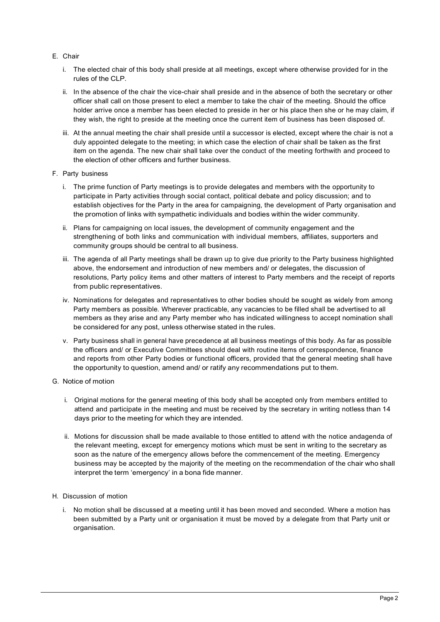- E. Chair
	- i. The elected chair of this body shall preside at all meetings, except where otherwise provided for in the rules of the CLP.
	- ii. In the absence of the chair the vice-chair shall preside and in the absence of both the secretary or other officer shall call on those present to elect a member to take the chair of the meeting. Should the office holder arrive once a member has been elected to preside in her or his place then she or he may claim, if they wish, the right to preside at the meeting once the current item of business has been disposed of.
	- iii. At the annual meeting the chair shall preside until a successor is elected, except where the chair is not a duly appointed delegate to the meeting; in which case the election of chair shall be taken as the first item on the agenda. The new chair shall take over the conduct of the meeting forthwith and proceed to the election of other officers and further business.
- F. Party business
	- i. The prime function of Party meetings is to provide delegates and members with the opportunity to participate in Party activities through social contact, political debate and policy discussion; and to establish objectives for the Party in the area for campaigning, the development of Party organisation and the promotion of links with sympathetic individuals and bodies within the wider community.
	- ii. Plans for campaigning on local issues, the development of community engagement and the strengthening of both links and communication with individual members, affiliates, supporters and community groups should be central to all business.
	- iii. The agenda of all Party meetings shall be drawn up to give due priority to the Party business highlighted above, the endorsement and introduction of new members and/ or delegates, the discussion of resolutions, Party policy items and other matters of interest to Party members and the receipt of reports from public representatives.
	- iv. Nominations for delegates and representatives to other bodies should be sought as widely from among Party members as possible. Wherever practicable, any vacancies to be filled shall be advertised to all members as they arise and any Party member who has indicated willingness to accept nomination shall be considered for any post, unless otherwise stated in the rules.
	- v. Party business shall in general have precedence at all business meetings of this body. As far as possible the officers and/ or Executive Committees should deal with routine items of correspondence, finance and reports from other Party bodies or functional officers, provided that the general meeting shall have the opportunity to question, amend and/ or ratify any recommendations put to them.
- G. Notice of motion
	- i. Original motions for the general meeting of this body shall be accepted only from members entitled to attend and participate in the meeting and must be received by the secretary in writing notless than 14 days prior to the meeting for which they are intended.
	- ii. Motions for discussion shall be made available to those entitled to attend with the notice andagenda of the relevant meeting, except for emergency motions which must be sent in writing to the secretary as soon as the nature of the emergency allows before the commencement of the meeting. Emergency business may be accepted by the majority of the meeting on the recommendation of the chair who shall interpret the term 'emergency' in a bona fide manner.
- H. Discussion of motion
	- i. No motion shall be discussed at a meeting until it has been moved and seconded. Where a motion has been submitted by a Party unit or organisation it must be moved by a delegate from that Party unit or organisation.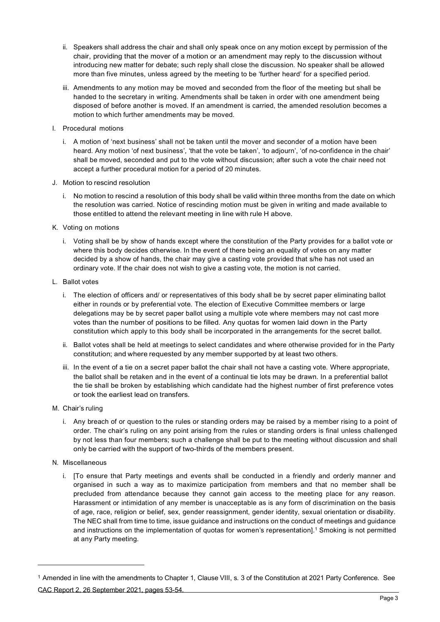- ii. Speakers shall address the chair and shall only speak once on any motion except by permission of the chair, providing that the mover of a motion or an amendment may reply to the discussion without introducing new matter for debate; such reply shall close the discussion. No speaker shall be allowed more than five minutes, unless agreed by the meeting to be 'further heard' for a specified period.
- iii. Amendments to any motion may be moved and seconded from the floor of the meeting but shall be handed to the secretary in writing. Amendments shall be taken in order with one amendment being disposed of before another is moved. If an amendment is carried, the amended resolution becomes a motion to which further amendments may be moved.
- I. Procedural motions
	- i. A motion of 'next business' shall not be taken until the mover and seconder of a motion have been heard. Any motion 'of next business', 'that the vote be taken', 'to adjourn', 'of no-confidence in the chair' shall be moved, seconded and put to the vote without discussion; after such a vote the chair need not accept a further procedural motion for a period of 20 minutes.
- J. Motion to rescind resolution
	- i. No motion to rescind a resolution of this body shall be valid within three months from the date on which the resolution was carried. Notice of rescinding motion must be given in writing and made available to those entitled to attend the relevant meeting in line with rule H above.
- K. Voting on motions
	- i. Voting shall be by show of hands except where the constitution of the Party provides for a ballot vote or where this body decides otherwise. In the event of there being an equality of votes on any matter decided by a show of hands, the chair may give a casting vote provided that s/he has not used an ordinary vote. If the chair does not wish to give a casting vote, the motion is not carried.
- L. Ballot votes
	- i. The election of officers and/ or representatives of this body shall be by secret paper eliminating ballot either in rounds or by preferential vote. The election of Executive Committee members or large delegations may be by secret paper ballot using a multiple vote where members may not cast more votes than the number of positions to be filled. Any quotas for women laid down in the Party constitution which apply to this body shall be incorporated in the arrangements for the secret ballot.
	- ii. Ballot votes shall be held at meetings to select candidates and where otherwise provided for in the Party constitution; and where requested by any member supported by at least two others.
	- iii. In the event of a tie on a secret paper ballot the chair shall not have a casting vote. Where appropriate, the ballot shall be retaken and in the event of a continual tie lots may be drawn. In a preferential ballot the tie shall be broken by establishing which candidate had the highest number of first preference votes or took the earliest lead on transfers.
- M. Chair's ruling
	- i. Any breach of or question to the rules or standing orders may be raised by a member rising to a point of order. The chair's ruling on any point arising from the rules or standing orders is final unless challenged by not less than four members; such a challenge shall be put to the meeting without discussion and shall only be carried with the support of two-thirds of the members present.
- N. Miscellaneous
	- i. [To ensure that Party meetings and events shall be conducted in a friendly and orderly manner and organised in such a way as to maximize participation from members and that no member shall be precluded from attendance because they cannot gain access to the meeting place for any reason. Harassment or intimidation of any member is unacceptable as is any form of discrimination on the basis of age, race, religion or belief, sex, gender reassignment, gender identity, sexual orientation or disability. The NEC shall from time to time, issue guidance and instructions on the conduct of meetings and guidance and instructions on the implementation of quotas for women's representation]. <sup>1</sup> Smoking is not permitted at any Party meeting.

<sup>1</sup> Amended in line with the amendments to Chapter 1, Clause VIII, s. 3 of the Constitution at 2021 Party Conference. See CAC Report 2, 26 September 2021, pages 53-54.